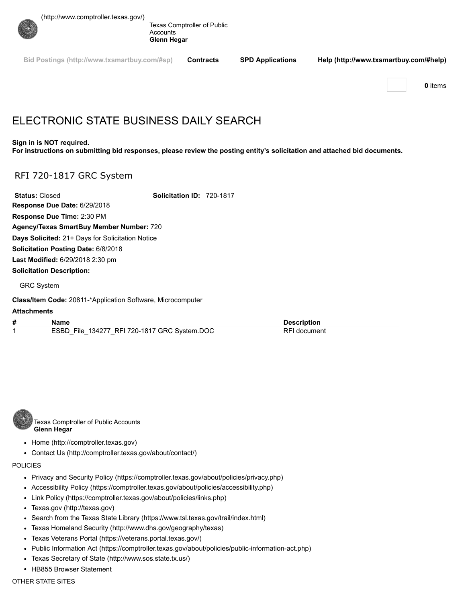[\(http://www.comptroller.texas.gov/\)](http://www.comptroller.texas.gov/)



Texas Comptroller of Public **Accounts Glenn Hegar**

**[Bid Postings \(http://www.txsmartbuy.com/#sp\)](http://www.txsmartbuy.com/#sp) Contracts SPD Applications [Help \(http://www.txsmartbuy.com/#help\)](http://www.txsmartbuy.com/#help)**

**0** items

# ELECTRONIC STATE BUSINESS DAILY SEARCH

#### **Sign in is NOT required.**

**For instructions on submitting bid responses, please review the posting entity's solicitation and attached bid documents.**

## RFI 720-1817 GRC System

**Status:** Closed **Solicitation ID:** 720-1817 **Response Due Date:** 6/29/2018 **Response Due Time:** 2:30 PM **Agency/Texas SmartBuy Member Number:** 720 **Days Solicited:** 21+ Days for Solicitation Notice **Solicitation Posting Date:** 6/8/2018 **Last Modified:** 6/29/2018 2:30 pm **Solicitation Description:**

#### GRC System

**Class/Item Code:** 20811-\*Application Software, Microcomputer

### **Attachments**

**# Name Description** 1 ESBD\_File\_134277\_RFI 720-1817 GRC System.DOC RFI document



Texas Comptroller of Public Accounts **Glenn Hegar**

- [Home \(http://comptroller.texas.gov\)](http://comptroller.texas.gov/)
- [Contact Us \(http://comptroller.texas.gov/about/contact/\)](http://comptroller.texas.gov/about/contact/)

### POLICIES

- [Privacy and Security Policy \(https://comptroller.texas.gov/about/policies/privacy.php\)](https://comptroller.texas.gov/about/policies/privacy.php)
- [Accessibility Policy \(https://comptroller.texas.gov/about/policies/accessibility.php\)](https://comptroller.texas.gov/about/policies/accessibility.php)
- [Link Policy \(https://comptroller.texas.gov/about/policies/links.php\)](https://comptroller.texas.gov/about/policies/links.php)
- [Texas.gov \(http://texas.gov\)](http://texas.gov/)
- [Search from the Texas State Library \(https://www.tsl.texas.gov/trail/index.html\)](https://www.tsl.texas.gov/trail/index.html)
- [Texas Homeland Security \(http://www.dhs.gov/geography/texas\)](http://www.dhs.gov/geography/texas)
- [Texas Veterans Portal \(https://veterans.portal.texas.gov/\)](https://veterans.portal.texas.gov/)
- [Public Information Act \(https://comptroller.texas.gov/about/policies/public-information-act.php\)](https://comptroller.texas.gov/about/policies/public-information-act.php)
- [Texas Secretary of State \(http://www.sos.state.tx.us/\)](http://www.sos.state.tx.us/)
- HB855 Browser Statement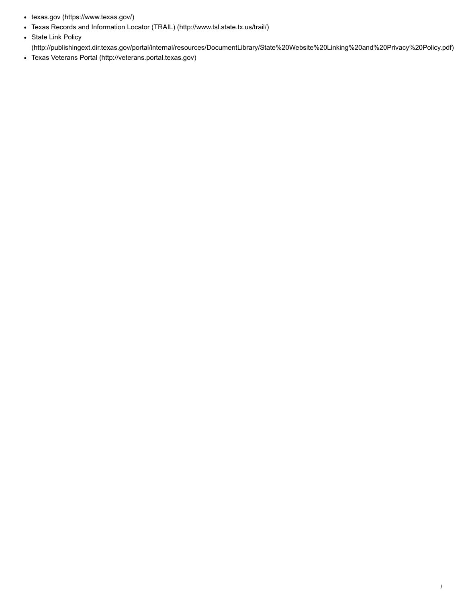- [texas.gov \(https://www.texas.gov/\)](https://www.texas.gov/)
- [Texas Records and Information Locator \(TRAIL\) \(http://www.tsl.state.tx.us/trail/\)](http://www.tsl.state.tx.us/trail/)
- State Link Policy
- [\(http://publishingext.dir.texas.gov/portal/internal/resources/DocumentLibrary/State%20Website%20Linking%20and%20Privacy%20Policy.pdf\)](http://publishingext.dir.texas.gov/portal/internal/resources/DocumentLibrary/State%20Website%20Linking%20and%20Privacy%20Policy.pdf)
- [Texas Veterans Portal \(http://veterans.portal.texas.gov\)](http://veterans.portal.texas.gov/)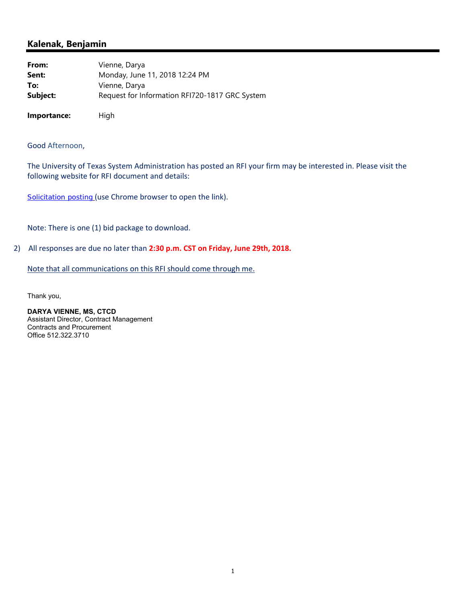## **Kalenak, Benjamin**

| From:       | Vienne, Darya                                  |
|-------------|------------------------------------------------|
| Sent:       | Monday, June 11, 2018 12:24 PM                 |
| To:         | Vienne, Darya                                  |
| Subject:    | Request for Information RFI720-1817 GRC System |
|             |                                                |
| Importance: | High                                           |

### Good Afternoon,

The University of Texas System Administration has posted an RFI your firm may be interested in. Please visit the following website for RFI document and details:

Solicitation posting (use Chrome browser to open the link).

Note: There is one (1) bid package to download.

2) All responses are due no later than **2:30 p.m. CST on Friday, June 29th, 2018.**

Note that all communications on this RFI should come through me.

Thank you,

**DARYA VIENNE, MS, CTCD** Assistant Director, Contract Management Contracts and Procurement Office 512.322.3710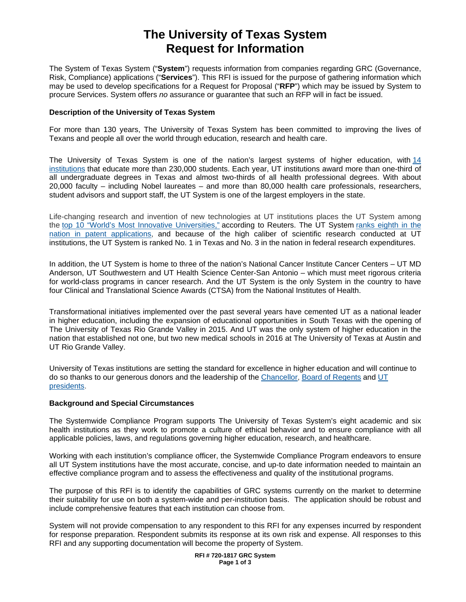## **The University of Texas System Request for Information**

The System of Texas System ("**System**") requests information from companies regarding GRC (Governance, Risk, Compliance) applications ("**Services**"). This RFI is issued for the purpose of gathering information which may be used to develop specifications for a Request for Proposal ("**RFP**") which may be issued by System to procure Services. System offers *no* assurance or guarantee that such an RFP will in fact be issued.

### **Description of the University of Texas System**

For more than 130 years, The University of Texas System has been committed to improving the lives of Texans and people all over the world through education, research and health care.

The University of Texas System is one of the nation's largest systems of higher education, with [14](https://www.utsystem.edu/institutions)  [institutions](https://www.utsystem.edu/institutions) that educate more than 230,000 students. Each year, UT institutions award more than one-third of all undergraduate degrees in Texas and almost two-thirds of all health professional degrees. With about 20,000 faculty – including Nobel laureates – and more than 80,000 health care professionals, researchers, student advisors and support staff, the UT System is one of the largest employers in the state.

Life-changing research and invention of new technologies at UT institutions places the UT System among the [top 10 "World's Most Innovative Universities,"](https://www.utsystem.edu/news/2017/09/28/ut-system-among-top-10-most-innovative-universities-world) according to Reuters. The UT System ranks eighth in the [nation in patent applications,](https://www.utsystem.edu/news/2017/06/07/ut-system-ranks-8th-globally-most-us-patents-granted-2016) and because of the high caliber of scientific research conducted at UT institutions, the UT System is ranked No. 1 in Texas and No. 3 in the nation in federal research expenditures.

In addition, the UT System is home to three of the nation's National Cancer Institute Cancer Centers – UT MD Anderson, UT Southwestern and UT Health Science Center-San Antonio – which must meet rigorous criteria for world-class programs in cancer research. And the UT System is the only System in the country to have four Clinical and Translational Science Awards (CTSA) from the National Institutes of Health.

Transformational initiatives implemented over the past several years have cemented UT as a national leader in higher education, including the expansion of educational opportunities in South Texas with the opening of The University of Texas Rio Grande Valley in 2015. And UT was the only system of higher education in the nation that established not one, but two new medical schools in 2016 at The University of Texas at Austin and UT Rio Grande Valley.

University of Texas institutions are setting the standard for excellence in higher education and will continue to do so thanks to our generous donors and the leadership of the [Chancellor,](https://www.utsystem.edu/chancellor) [Board of Regents](https://www.utsystem.edu/regents) and [UT](https://www.utsystem.edu/institutions)  [presidents.](https://www.utsystem.edu/institutions)

### **Background and Special Circumstances**

The Systemwide Compliance Program supports The University of Texas System's eight academic and six health institutions as they work to promote a culture of ethical behavior and to ensure compliance with all applicable policies, laws, and regulations governing higher education, research, and healthcare.

Working with each institution's compliance officer, the Systemwide Compliance Program endeavors to ensure all UT System institutions have the most accurate, concise, and up-to date information needed to maintain an effective compliance program and to assess the effectiveness and quality of the institutional programs.

The purpose of this RFI is to identify the capabilities of GRC systems currently on the market to determine their suitability for use on both a system-wide and per-institution basis. The application should be robust and include comprehensive features that each institution can choose from.

System will not provide compensation to any respondent to this RFI for any expenses incurred by respondent for response preparation. Respondent submits its response at its own risk and expense. All responses to this RFI and any supporting documentation will become the property of System.

> **RFI # 720-1817 GRC System Page 1 of 3**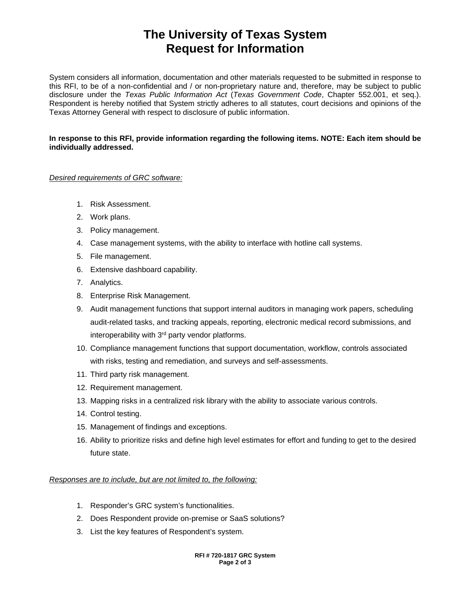# **The University of Texas System Request for Information**

System considers all information, documentation and other materials requested to be submitted in response to this RFI, to be of a non-confidential and / or non-proprietary nature and, therefore, may be subject to public disclosure under the *Texas Public Information Act* (*Texas Government Code*, Chapter 552.001, et seq.). Respondent is hereby notified that System strictly adheres to all statutes, court decisions and opinions of the Texas Attorney General with respect to disclosure of public information.

### **In response to this RFI, provide information regarding the following items. NOTE: Each item should be individually addressed.**

### *Desired requirements of GRC software:*

- 1. Risk Assessment.
- 2. Work plans.
- 3. Policy management.
- 4. Case management systems, with the ability to interface with hotline call systems.
- 5. File management.
- 6. Extensive dashboard capability.
- 7. Analytics.
- 8. Enterprise Risk Management.
- 9. Audit management functions that support internal auditors in managing work papers, scheduling audit-related tasks, and tracking appeals, reporting, electronic medical record submissions, and interoperability with 3<sup>rd</sup> party vendor platforms.
- 10. Compliance management functions that support documentation, workflow, controls associated with risks, testing and remediation, and surveys and self-assessments.
- 11. Third party risk management.
- 12. Requirement management.
- 13. Mapping risks in a centralized risk library with the ability to associate various controls.
- 14. Control testing.
- 15. Management of findings and exceptions.
- 16. Ability to prioritize risks and define high level estimates for effort and funding to get to the desired future state.

### *Responses are to include, but are not limited to, the following:*

- 1. Responder's GRC system's functionalities.
- 2. Does Respondent provide on-premise or SaaS solutions?
- 3. List the key features of Respondent's system.